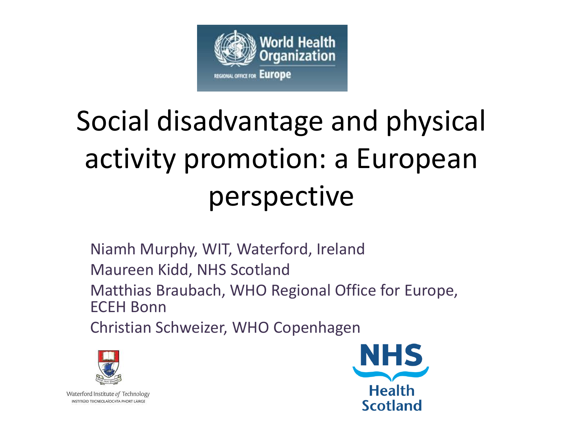

# Social disadvantage and physical activity promotion: a European perspective

Niamh Murphy, WIT, Waterford, Ireland Maureen Kidd, NHS Scotland Matthias Braubach, WHO Regional Office for Europe, ECEH Bonn Christian Schweizer, WHO Copenhagen



Waterford Institute of Technology INSTITIÚID TEICNEOLAÍOCHTA PHORT LÁIRGE

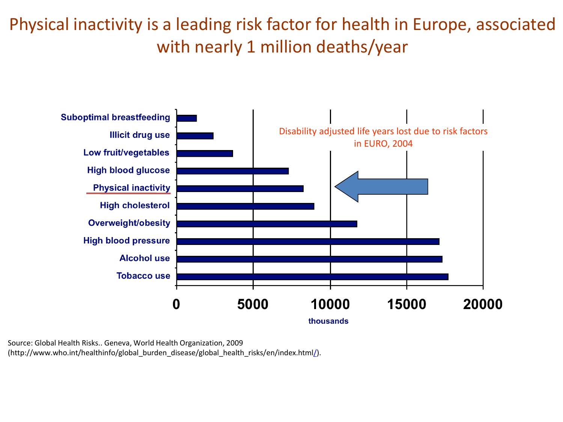Physical inactivity is a leading risk factor for health in Europe, associated with nearly 1 million deaths/year



Source: Global Health Risks.. Geneva, World Health Organization, 2009 (http://www.who.int/healthinfo/global\_burden\_disease/global\_health\_risks/en/index.html[/](http://www.who.int/whr/2002/en/)).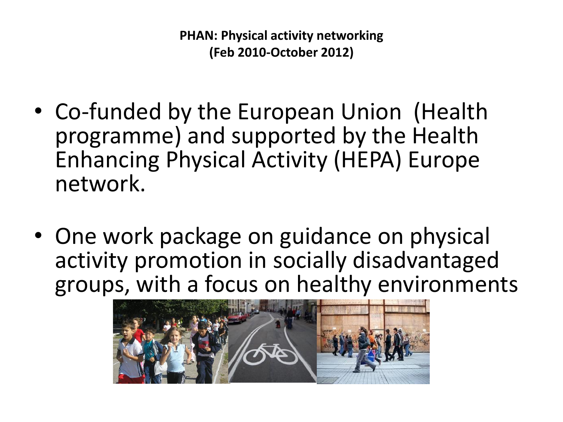**PHAN: Physical activity networking (Feb 2010-October 2012)**

- Co-funded by the European Union (Health programme) and supported by the Health Enhancing Physical Activity (HEPA) Europe network.
- One work package on guidance on physical activity promotion in socially disadvantaged groups, with a focus on healthy environments

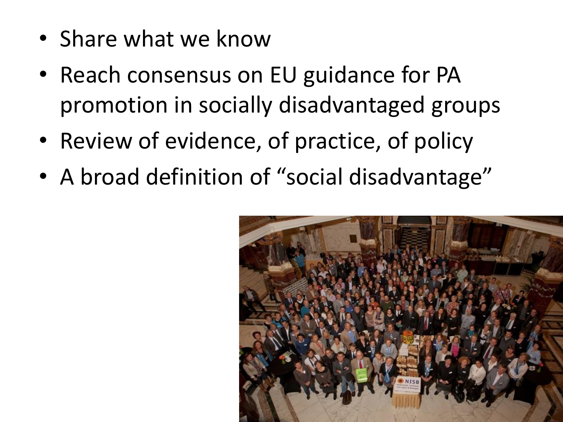- Share what we know
- Reach consensus on EU guidance for PA promotion in socially disadvantaged groups
- Review of evidence, of practice, of policy
- A broad definition of "social disadvantage"

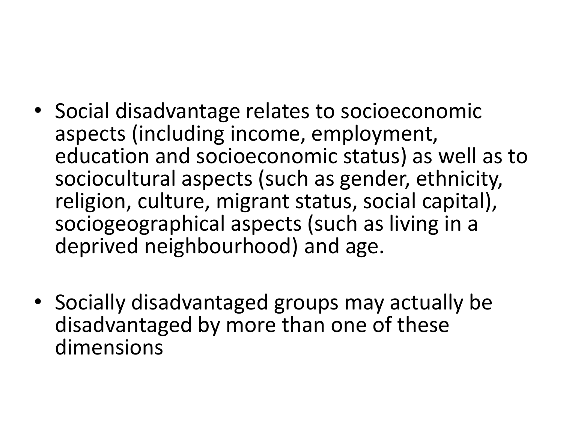- Social disadvantage relates to socioeconomic aspects (including income, employment, education and socioeconomic status) as well as to sociocultural aspects (such as gender, ethnicity, religion, culture, migrant status, social capital), sociogeographical aspects (such as living in a deprived neighbourhood) and age.
- Socially disadvantaged groups may actually be disadvantaged by more than one of these dimensions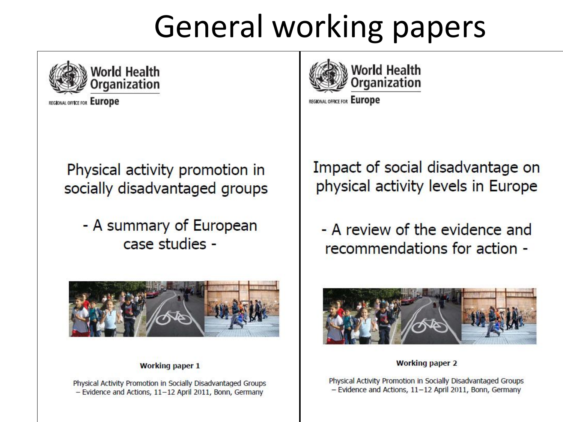## **General working papers**



**REGIONAL OFFICE FOR EUrope** 

Physical activity promotion in socially disadvantaged groups

- A summary of European case studies -



#### **Working paper 1**

Physical Activity Promotion in Socially Disadvantaged Groups - Evidence and Actions, 11-12 April 2011, Bonn, Germany



REGIONAL OFFICE FOR EUrope

### Impact of social disadvantage on physical activity levels in Europe

- A review of the evidence and recommendations for action -



**Working paper 2** 

Physical Activity Promotion in Socially Disadvantaged Groups - Evidence and Actions, 11-12 April 2011, Bonn, Germany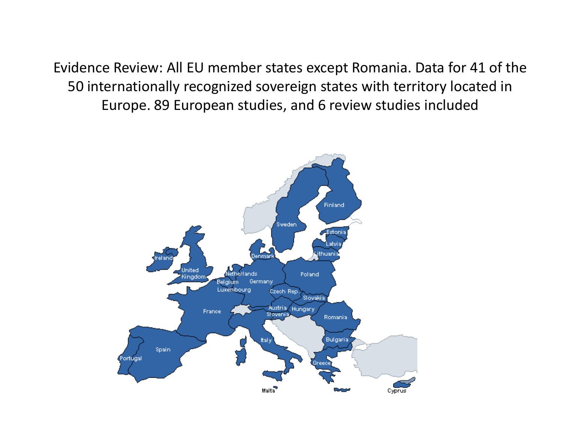Evidence Review: All EU member states except Romania. Data for 41 of the 50 internationally recognized sovereign states with territory located in Europe. 89 European studies, and 6 review studies included

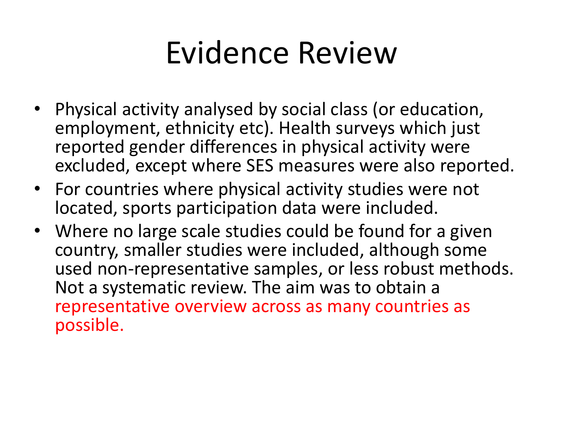### Evidence Review

- Physical activity analysed by social class (or education, employment, ethnicity etc). Health surveys which just reported gender differences in physical activity were excluded, except where SES measures were also reported.
- For countries where physical activity studies were not located, sports participation data were included.
- Where no large scale studies could be found for a given country, smaller studies were included, although some used non-representative samples, or less robust methods. Not a systematic review. The aim was to obtain a representative overview across as many countries as possible.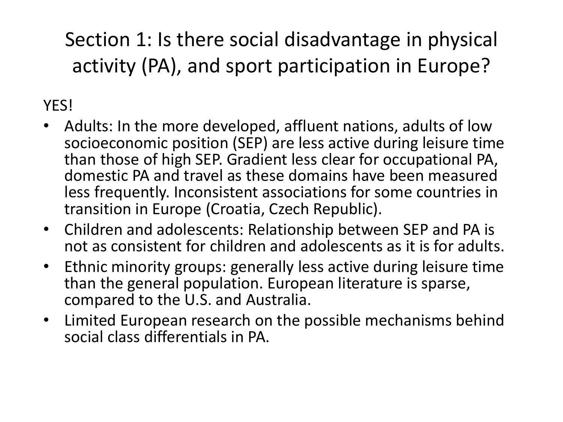### Section 1: Is there social disadvantage in physical activity (PA), and sport participation in Europe?

### **YFS!**

- Adults: In the more developed, affluent nations, adults of low socioeconomic position (SEP) are less active during leisure time than those of high SEP. Gradient less clear for occupational PA, domestic PA and travel as these domains have been measured less frequently. Inconsistent associations for some countries in transition in Europe (Croatia, Czech Republic).
- Children and adolescents: Relationship between SEP and PA is not as consistent for children and adolescents as it is for adults.
- Ethnic minority groups: generally less active during leisure time than the general population. European literature is sparse, compared to the U.S. and Australia.
- Limited European research on the possible mechanisms behind social class differentials in PA.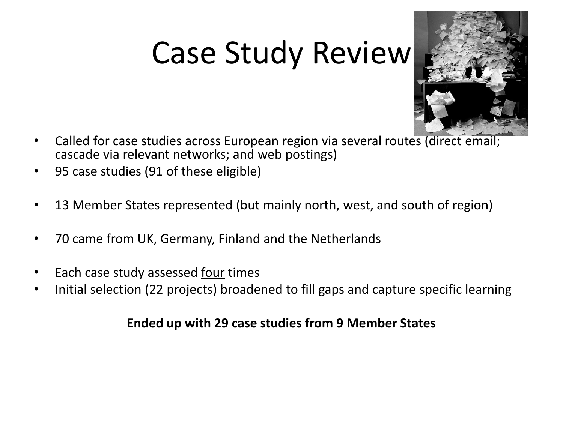## Case Study Review



- Called for case studies across European region via several routes (direct email; cascade via relevant networks; and web postings)
- 95 case studies (91 of these eligible)
- 13 Member States represented (but mainly north, west, and south of region)
- 70 came from UK, Germany, Finland and the Netherlands
- Each case study assessed four times
- Initial selection (22 projects) broadened to fill gaps and capture specific learning

### **Ended up with 29 case studies from 9 Member States**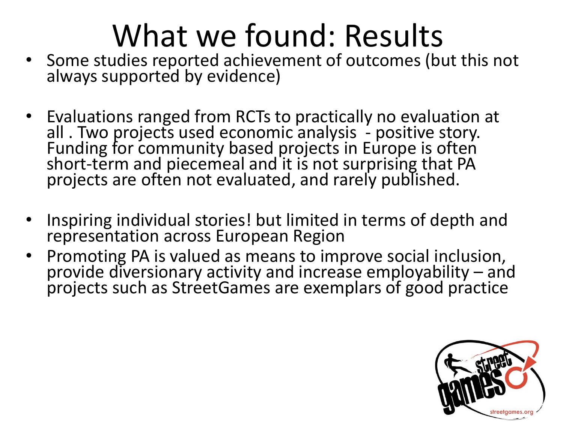# What we found: Results

- Some studies reported achievement of outcomes (but this not always supported by evidence)
- Evaluations ranged from RCTs to practically no evaluation at all . Two projects used economic analysis - positive story. Funding for community based projects in Europe is often short-term and piecemeal and it is not surprising that PA projects are often not evaluated, and rarely published.
- Inspiring individual stories! but limited in terms of depth and representation across European Region
- Promoting PA is valued as means to improve social inclusion, provide diversionary activity and increase employability – and projects such as StreetGames are exemplars of good practice

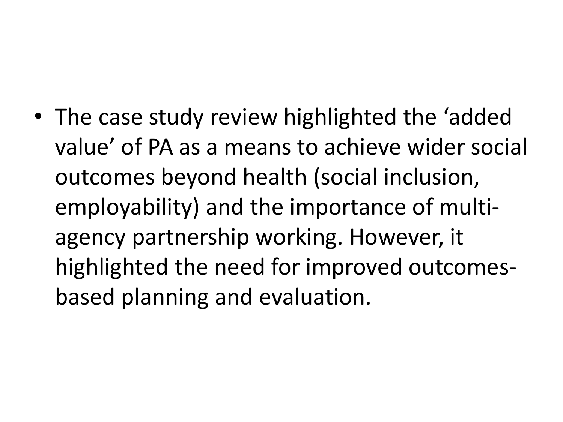• The case study review highlighted the 'added value' of PA as a means to achieve wider social outcomes beyond health (social inclusion, employability) and the importance of multiagency partnership working. However, it highlighted the need for improved outcomesbased planning and evaluation.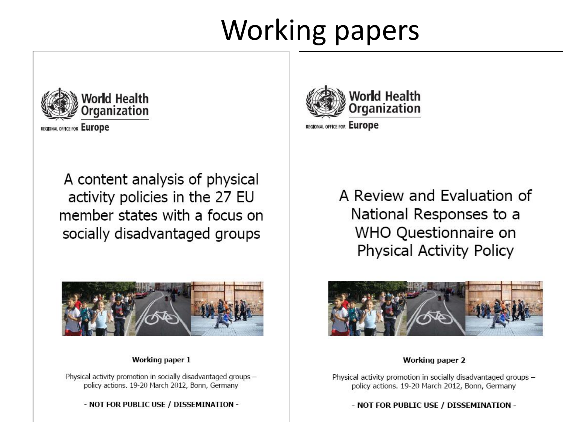### **Working papers**



REGIONAL OFFICE FOR Europe

A content analysis of physical activity policies in the 27 EU member states with a focus on socially disadvantaged groups



#### Working paper 1

Physical activity promotion in socially disadvantaged groups policy actions. 19-20 March 2012, Bonn, Germany

- NOT FOR PUBLIC USE / DISSEMINATION -



REGIONAL OFFICE FOR Europe

A Review and Evaluation of National Responses to a WHO Questionnaire on **Physical Activity Policy** 



**Working paper 2** 

Physical activity promotion in socially disadvantaged groups policy actions, 19-20 March 2012, Bonn, Germany

- NOT FOR PUBLIC USE / DISSEMINATION -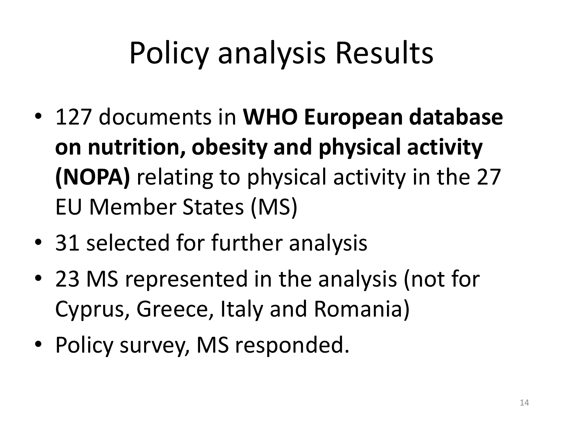# Policy analysis Results

- 127 documents in **WHO European database on nutrition, obesity and physical activity (NOPA)** relating to physical activity in the 27 EU Member States (MS)
- 31 selected for further analysis
- 23 MS represented in the analysis (not for Cyprus, Greece, Italy and Romania)
- Policy survey, MS responded.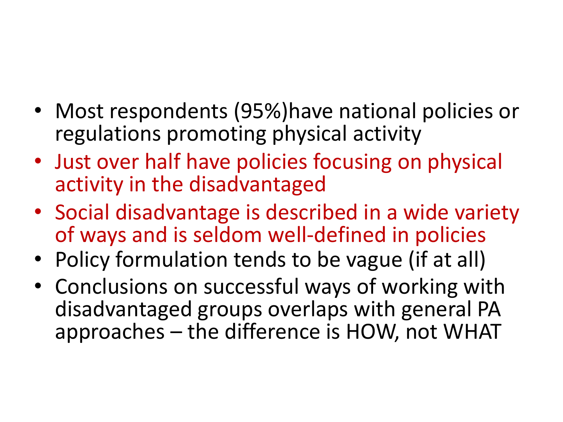- Most respondents (95%)have national policies or regulations promoting physical activity
- Just over half have policies focusing on physical activity in the disadvantaged
- Social disadvantage is described in a wide variety of ways and is seldom well-defined in policies
- Policy formulation tends to be vague (if at all)
- Conclusions on successful ways of working with disadvantaged groups overlaps with general PA approaches – the difference is HOW, not WHAT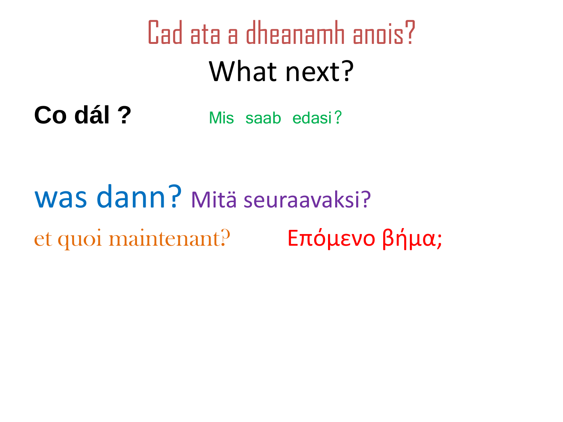# Cad ata a dheanamh anois? What next?

Co dál? Mis saab edasi?

### was dann? Mitä seuraavaksi? et quoi maintenant? Επόμενο βήμα;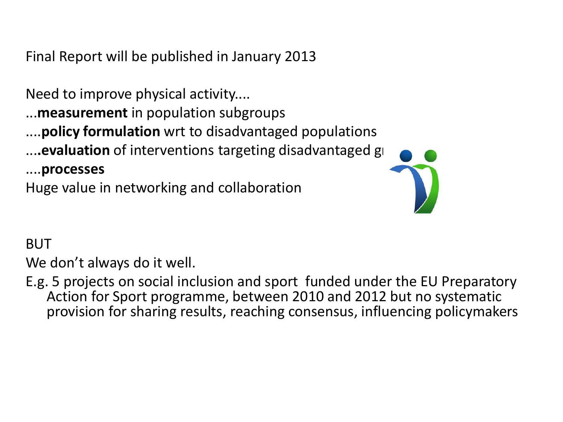Final Report will be published in January 2013

Need to improve physical activity....

...**measurement** in population subgroups

....**policy formulation** wrt to disadvantaged populations

.... evaluation of interventions targeting disadvantaged gl

....**processes**

Huge value in networking and collaboration



### BUT

We don't always do it well.

E.g. 5 projects on social inclusion and sport funded under the EU Preparatory Action for Sport programme, between 2010 and 2012 but no systematic provision for sharing results, reaching consensus, influencing policymakers